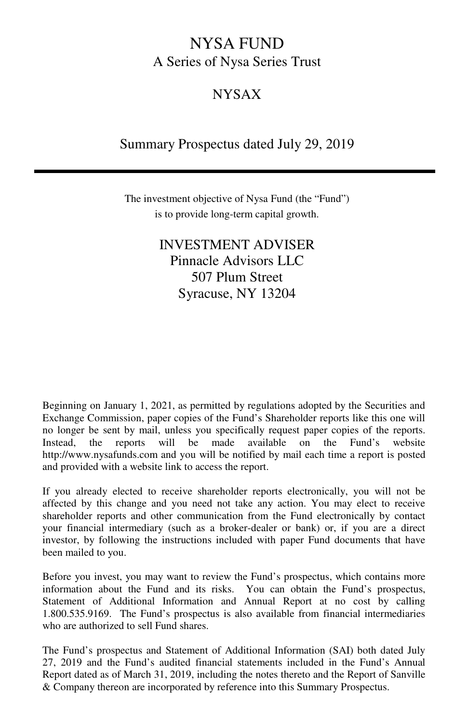# NYSA FUND A Series of Nysa Series Trust

## NYSAX

## Summary Prospectus dated July 29, 2019

The investment objective of Nysa Fund (the "Fund") is to provide long-term capital growth.

## INVESTMENT ADVISER Pinnacle Advisors LLC 507 Plum Street Syracuse, NY 13204

Beginning on January 1, 2021, as permitted by regulations adopted by the Securities and Exchange Commission, paper copies of the Fund's Shareholder reports like this one will no longer be sent by mail, unless you specifically request paper copies of the reports. Instead, the reports will be made available on the Fund's website http://www.nysafunds.com and you will be notified by mail each time a report is posted and provided with a website link to access the report.

If you already elected to receive shareholder reports electronically, you will not be affected by this change and you need not take any action. You may elect to receive shareholder reports and other communication from the Fund electronically by contact your financial intermediary (such as a broker-dealer or bank) or, if you are a direct investor, by following the instructions included with paper Fund documents that have been mailed to you.

Before you invest, you may want to review the Fund's prospectus, which contains more information about the Fund and its risks. You can obtain the Fund's prospectus, Statement of Additional Information and Annual Report at no cost by calling 1.800.535.9169. The Fund's prospectus is also available from financial intermediaries who are authorized to sell Fund shares.

The Fund's prospectus and Statement of Additional Information (SAI) both dated July 27, 2019 and the Fund's audited financial statements included in the Fund's Annual Report dated as of March 31, 2019, including the notes thereto and the Report of Sanville & Company thereon are incorporated by reference into this Summary Prospectus.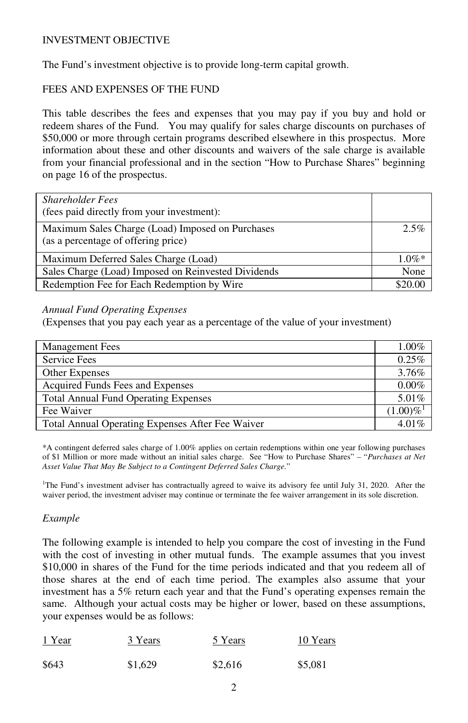## INVESTMENT OBJECTIVE

The Fund's investment objective is to provide long-term capital growth.

### FEES AND EXPENSES OF THE FUND

This table describes the fees and expenses that you may pay if you buy and hold or redeem shares of the Fund. You may qualify for sales charge discounts on purchases of \$50,000 or more through certain programs described elsewhere in this prospectus. More information about these and other discounts and waivers of the sale charge is available from your financial professional and in the section "How to Purchase Shares" beginning on page 16 of the prospectus.

| <b>Shareholder Fees</b><br>(fees paid directly from your investment):                   |          |
|-----------------------------------------------------------------------------------------|----------|
| Maximum Sales Charge (Load) Imposed on Purchases<br>(as a percentage of offering price) | 2.5%     |
| Maximum Deferred Sales Charge (Load)                                                    | $1.0\%*$ |
| Sales Charge (Load) Imposed on Reinvested Dividends                                     | None     |
| Redemption Fee for Each Redemption by Wire                                              | \$20.00  |

#### *Annual Fund Operating Expenses*

(Expenses that you pay each year as a percentage of the value of your investment)

| <b>Management Fees</b>                                  | 1.00%      |
|---------------------------------------------------------|------------|
| <b>Service Fees</b>                                     | 0.25%      |
| Other Expenses                                          | 3.76%      |
| Acquired Funds Fees and Expenses                        | 0.00%      |
| <b>Total Annual Fund Operating Expenses</b>             | 5.01%      |
| Fee Waiver                                              | $(1.00)\%$ |
| <b>Total Annual Operating Expenses After Fee Waiver</b> | $4.01\%$   |

\*A contingent deferred sales charge of 1.00% applies on certain redemptions within one year following purchases of \$1 Million or more made without an initial sales charge. See "How to Purchase Shares" – "*Purchases at Net Asset Value That May Be Subject to a Contingent Deferred Sales Charge.*"

<sup>1</sup>The Fund's investment adviser has contractually agreed to waive its advisory fee until July 31, 2020. After the waiver period, the investment adviser may continue or terminate the fee waiver arrangement in its sole discretion.

#### *Example*

The following example is intended to help you compare the cost of investing in the Fund with the cost of investing in other mutual funds. The example assumes that you invest \$10,000 in shares of the Fund for the time periods indicated and that you redeem all of those shares at the end of each time period. The examples also assume that your investment has a 5% return each year and that the Fund's operating expenses remain the same. Although your actual costs may be higher or lower, based on these assumptions, your expenses would be as follows:

| 1 Year | 3 Years | 5 Years | 10 Years |
|--------|---------|---------|----------|
| \$643  | \$1,629 | \$2,616 | \$5,081  |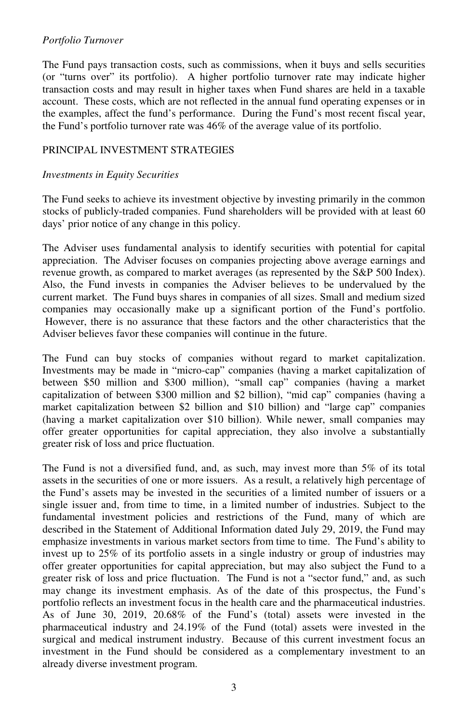### *Portfolio Turnover*

The Fund pays transaction costs, such as commissions, when it buys and sells securities (or "turns over" its portfolio). A higher portfolio turnover rate may indicate higher transaction costs and may result in higher taxes when Fund shares are held in a taxable account. These costs, which are not reflected in the annual fund operating expenses or in the examples, affect the fund's performance. During the Fund's most recent fiscal year, the Fund's portfolio turnover rate was 46% of the average value of its portfolio.

### PRINCIPAL INVESTMENT STRATEGIES

#### *Investments in Equity Securities*

The Fund seeks to achieve its investment objective by investing primarily in the common stocks of publicly-traded companies. Fund shareholders will be provided with at least 60 days' prior notice of any change in this policy.

The Adviser uses fundamental analysis to identify securities with potential for capital appreciation. The Adviser focuses on companies projecting above average earnings and revenue growth, as compared to market averages (as represented by the S&P 500 Index). Also, the Fund invests in companies the Adviser believes to be undervalued by the current market. The Fund buys shares in companies of all sizes. Small and medium sized companies may occasionally make up a significant portion of the Fund's portfolio. However, there is no assurance that these factors and the other characteristics that the Adviser believes favor these companies will continue in the future.

The Fund can buy stocks of companies without regard to market capitalization. Investments may be made in "micro-cap" companies (having a market capitalization of between \$50 million and \$300 million), "small cap" companies (having a market capitalization of between \$300 million and \$2 billion), "mid cap" companies (having a market capitalization between \$2 billion and \$10 billion) and "large cap" companies (having a market capitalization over \$10 billion). While newer, small companies may offer greater opportunities for capital appreciation, they also involve a substantially greater risk of loss and price fluctuation.

The Fund is not a diversified fund, and, as such, may invest more than 5% of its total assets in the securities of one or more issuers. As a result, a relatively high percentage of the Fund's assets may be invested in the securities of a limited number of issuers or a single issuer and, from time to time, in a limited number of industries. Subject to the fundamental investment policies and restrictions of the Fund, many of which are described in the Statement of Additional Information dated July 29, 2019, the Fund may emphasize investments in various market sectors from time to time. The Fund's ability to invest up to 25% of its portfolio assets in a single industry or group of industries may offer greater opportunities for capital appreciation, but may also subject the Fund to a greater risk of loss and price fluctuation. The Fund is not a "sector fund," and, as such may change its investment emphasis. As of the date of this prospectus, the Fund's portfolio reflects an investment focus in the health care and the pharmaceutical industries. As of June 30, 2019, 20.68% of the Fund's (total) assets were invested in the pharmaceutical industry and 24.19% of the Fund (total) assets were invested in the surgical and medical instrument industry. Because of this current investment focus an investment in the Fund should be considered as a complementary investment to an already diverse investment program.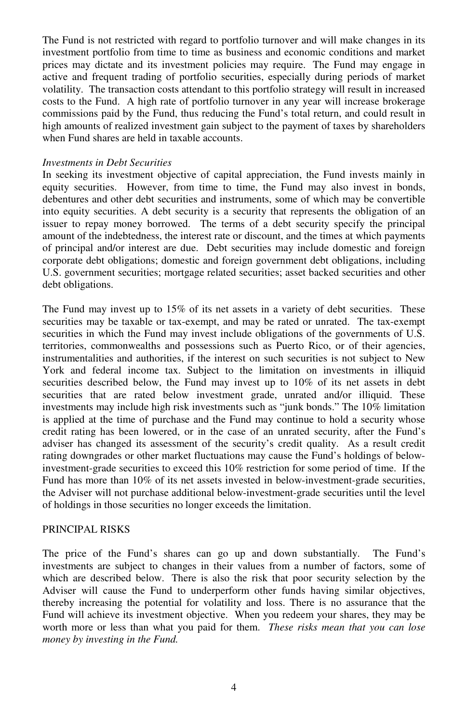The Fund is not restricted with regard to portfolio turnover and will make changes in its investment portfolio from time to time as business and economic conditions and market prices may dictate and its investment policies may require. The Fund may engage in active and frequent trading of portfolio securities, especially during periods of market volatility. The transaction costs attendant to this portfolio strategy will result in increased costs to the Fund. A high rate of portfolio turnover in any year will increase brokerage commissions paid by the Fund, thus reducing the Fund's total return, and could result in high amounts of realized investment gain subject to the payment of taxes by shareholders when Fund shares are held in taxable accounts.

#### *Investments in Debt Securities*

In seeking its investment objective of capital appreciation, the Fund invests mainly in equity securities. However, from time to time, the Fund may also invest in bonds, debentures and other debt securities and instruments, some of which may be convertible into equity securities. A debt security is a security that represents the obligation of an issuer to repay money borrowed. The terms of a debt security specify the principal amount of the indebtedness, the interest rate or discount, and the times at which payments of principal and/or interest are due. Debt securities may include domestic and foreign corporate debt obligations; domestic and foreign government debt obligations, including U.S. government securities; mortgage related securities; asset backed securities and other debt obligations.

The Fund may invest up to 15% of its net assets in a variety of debt securities. These securities may be taxable or tax-exempt, and may be rated or unrated. The tax-exempt securities in which the Fund may invest include obligations of the governments of U.S. territories, commonwealths and possessions such as Puerto Rico, or of their agencies, instrumentalities and authorities, if the interest on such securities is not subject to New York and federal income tax. Subject to the limitation on investments in illiquid securities described below, the Fund may invest up to 10% of its net assets in debt securities that are rated below investment grade, unrated and/or illiquid. These investments may include high risk investments such as "junk bonds." The 10% limitation is applied at the time of purchase and the Fund may continue to hold a security whose credit rating has been lowered, or in the case of an unrated security, after the Fund's adviser has changed its assessment of the security's credit quality. As a result credit rating downgrades or other market fluctuations may cause the Fund's holdings of belowinvestment-grade securities to exceed this 10% restriction for some period of time. If the Fund has more than 10% of its net assets invested in below-investment-grade securities, the Adviser will not purchase additional below-investment-grade securities until the level of holdings in those securities no longer exceeds the limitation.

## PRINCIPAL RISKS

The price of the Fund's shares can go up and down substantially. The Fund's investments are subject to changes in their values from a number of factors, some of which are described below. There is also the risk that poor security selection by the Adviser will cause the Fund to underperform other funds having similar objectives, thereby increasing the potential for volatility and loss. There is no assurance that the Fund will achieve its investment objective. When you redeem your shares, they may be worth more or less than what you paid for them. *These risks mean that you can lose money by investing in the Fund.*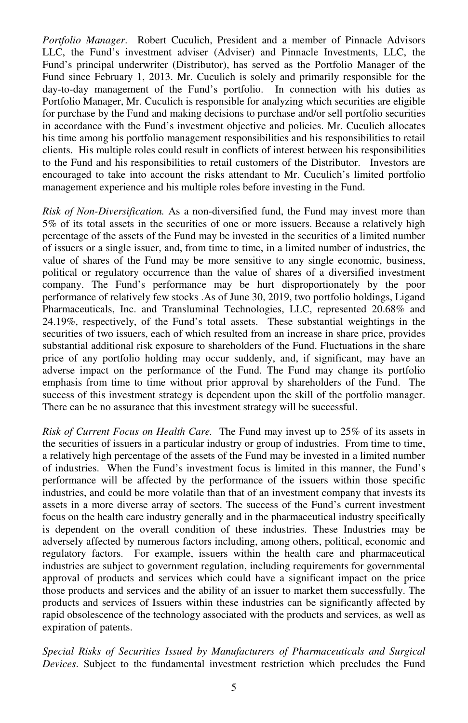*Portfolio Manager*. Robert Cuculich, President and a member of Pinnacle Advisors LLC, the Fund's investment adviser (Adviser) and Pinnacle Investments, LLC, the Fund's principal underwriter (Distributor), has served as the Portfolio Manager of the Fund since February 1, 2013. Mr. Cuculich is solely and primarily responsible for the day-to-day management of the Fund's portfolio. In connection with his duties as Portfolio Manager, Mr. Cuculich is responsible for analyzing which securities are eligible for purchase by the Fund and making decisions to purchase and/or sell portfolio securities in accordance with the Fund's investment objective and policies. Mr. Cuculich allocates his time among his portfolio management responsibilities and his responsibilities to retail clients. His multiple roles could result in conflicts of interest between his responsibilities to the Fund and his responsibilities to retail customers of the Distributor. Investors are encouraged to take into account the risks attendant to Mr. Cuculich's limited portfolio management experience and his multiple roles before investing in the Fund.

*Risk of Non-Diversification.* As a non-diversified fund, the Fund may invest more than 5% of its total assets in the securities of one or more issuers. Because a relatively high percentage of the assets of the Fund may be invested in the securities of a limited number of issuers or a single issuer, and, from time to time, in a limited number of industries, the value of shares of the Fund may be more sensitive to any single economic, business, political or regulatory occurrence than the value of shares of a diversified investment company. The Fund's performance may be hurt disproportionately by the poor performance of relatively few stocks .As of June 30, 2019, two portfolio holdings, Ligand Pharmaceuticals, Inc. and Transluminal Technologies, LLC, represented 20.68% and 24.19%, respectively, of the Fund's total assets. These substantial weightings in the securities of two issuers, each of which resulted from an increase in share price, provides substantial additional risk exposure to shareholders of the Fund. Fluctuations in the share price of any portfolio holding may occur suddenly, and, if significant, may have an adverse impact on the performance of the Fund. The Fund may change its portfolio emphasis from time to time without prior approval by shareholders of the Fund. The success of this investment strategy is dependent upon the skill of the portfolio manager. There can be no assurance that this investment strategy will be successful.

*Risk of Current Focus on Health Care.* The Fund may invest up to 25% of its assets in the securities of issuers in a particular industry or group of industries. From time to time, a relatively high percentage of the assets of the Fund may be invested in a limited number of industries. When the Fund's investment focus is limited in this manner, the Fund's performance will be affected by the performance of the issuers within those specific industries, and could be more volatile than that of an investment company that invests its assets in a more diverse array of sectors. The success of the Fund's current investment focus on the health care industry generally and in the pharmaceutical industry specifically is dependent on the overall condition of these industries. These Industries may be adversely affected by numerous factors including, among others, political, economic and regulatory factors. For example, issuers within the health care and pharmaceutical industries are subject to government regulation, including requirements for governmental approval of products and services which could have a significant impact on the price those products and services and the ability of an issuer to market them successfully. The products and services of Issuers within these industries can be significantly affected by rapid obsolescence of the technology associated with the products and services, as well as expiration of patents.

*Special Risks of Securities Issued by Manufacturers of Pharmaceuticals and Surgical Devices*. Subject to the fundamental investment restriction which precludes the Fund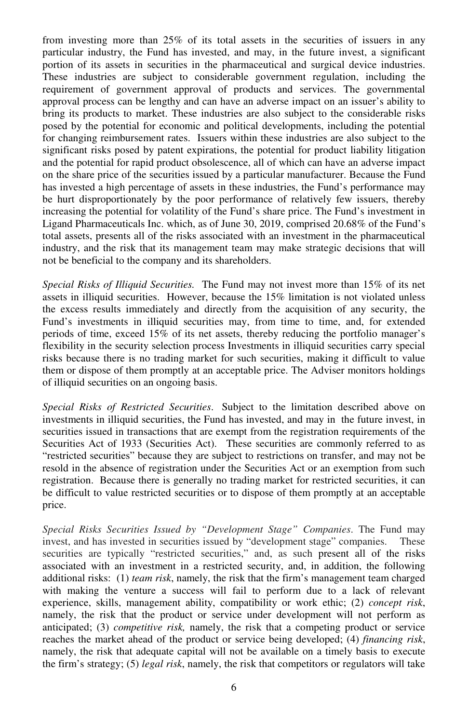from investing more than 25% of its total assets in the securities of issuers in any particular industry, the Fund has invested, and may, in the future invest, a significant portion of its assets in securities in the pharmaceutical and surgical device industries. These industries are subject to considerable government regulation, including the requirement of government approval of products and services. The governmental approval process can be lengthy and can have an adverse impact on an issuer's ability to bring its products to market. These industries are also subject to the considerable risks posed by the potential for economic and political developments, including the potential for changing reimbursement rates. Issuers within these industries are also subject to the significant risks posed by patent expirations, the potential for product liability litigation and the potential for rapid product obsolescence, all of which can have an adverse impact on the share price of the securities issued by a particular manufacturer. Because the Fund has invested a high percentage of assets in these industries, the Fund's performance may be hurt disproportionately by the poor performance of relatively few issuers, thereby increasing the potential for volatility of the Fund's share price. The Fund's investment in Ligand Pharmaceuticals Inc. which, as of June 30, 2019, comprised 20.68% of the Fund's total assets, presents all of the risks associated with an investment in the pharmaceutical industry, and the risk that its management team may make strategic decisions that will not be beneficial to the company and its shareholders.

*Special Risks of Illiquid Securities.* The Fund may not invest more than 15% of its net assets in illiquid securities. However, because the 15% limitation is not violated unless the excess results immediately and directly from the acquisition of any security, the Fund's investments in illiquid securities may, from time to time, and, for extended periods of time, exceed 15% of its net assets, thereby reducing the portfolio manager's flexibility in the security selection process Investments in illiquid securities carry special risks because there is no trading market for such securities, making it difficult to value them or dispose of them promptly at an acceptable price. The Adviser monitors holdings of illiquid securities on an ongoing basis.

*Special Risks of Restricted Securities*. Subject to the limitation described above on investments in illiquid securities, the Fund has invested, and may in the future invest, in securities issued in transactions that are exempt from the registration requirements of the Securities Act of 1933 (Securities Act). These securities are commonly referred to as "restricted securities" because they are subject to restrictions on transfer, and may not be resold in the absence of registration under the Securities Act or an exemption from such registration. Because there is generally no trading market for restricted securities, it can be difficult to value restricted securities or to dispose of them promptly at an acceptable price.

*Special Risks Securities Issued by "Development Stage" Companies*. The Fund may invest, and has invested in securities issued by "development stage" companies. These securities are typically "restricted securities," and, as such present all of the risks associated with an investment in a restricted security, and, in addition, the following additional risks: (1) *team risk*, namely, the risk that the firm's management team charged with making the venture a success will fail to perform due to a lack of relevant experience, skills, management ability, compatibility or work ethic; (2) *concept risk*, namely, the risk that the product or service under development will not perform as anticipated; (3) *competitive risk,* namely, the risk that a competing product or service reaches the market ahead of the product or service being developed; (4) *financing risk*, namely, the risk that adequate capital will not be available on a timely basis to execute the firm's strategy; (5) *legal risk*, namely, the risk that competitors or regulators will take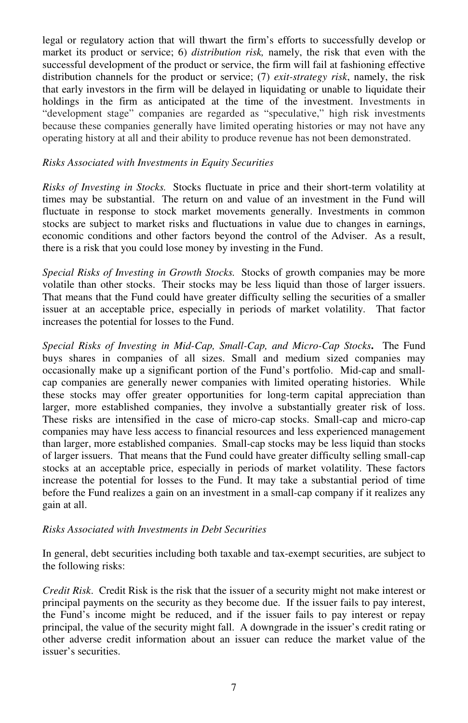legal or regulatory action that will thwart the firm's efforts to successfully develop or market its product or service; 6) *distribution risk,* namely, the risk that even with the successful development of the product or service, the firm will fail at fashioning effective distribution channels for the product or service; (7) *exit-strategy risk*, namely, the risk that early investors in the firm will be delayed in liquidating or unable to liquidate their holdings in the firm as anticipated at the time of the investment. Investments in "development stage" companies are regarded as "speculative," high risk investments because these companies generally have limited operating histories or may not have any operating history at all and their ability to produce revenue has not been demonstrated.

### *Risks Associated with Investments in Equity Securities*

*Risks of Investing in Stocks.* Stocks fluctuate in price and their short-term volatility at times may be substantial. The return on and value of an investment in the Fund will fluctuate in response to stock market movements generally. Investments in common stocks are subject to market risks and fluctuations in value due to changes in earnings, economic conditions and other factors beyond the control of the Adviser. As a result, there is a risk that you could lose money by investing in the Fund.

*Special Risks of Investing in Growth Stocks.*Stocks of growth companies may be more volatile than other stocks. Their stocks may be less liquid than those of larger issuers. That means that the Fund could have greater difficulty selling the securities of a smaller issuer at an acceptable price, especially in periods of market volatility. That factor increases the potential for losses to the Fund.

*Special Risks of Investing in Mid-Cap, Small-Cap, and Micro-Cap Stocks***.** The Fund buys shares in companies of all sizes. Small and medium sized companies may occasionally make up a significant portion of the Fund's portfolio. Mid-cap and smallcap companies are generally newer companies with limited operating histories. While these stocks may offer greater opportunities for long-term capital appreciation than larger, more established companies, they involve a substantially greater risk of loss. These risks are intensified in the case of micro-cap stocks. Small-cap and micro-cap companies may have less access to financial resources and less experienced management than larger, more established companies. Small-cap stocks may be less liquid than stocks of larger issuers. That means that the Fund could have greater difficulty selling small-cap stocks at an acceptable price, especially in periods of market volatility. These factors increase the potential for losses to the Fund. It may take a substantial period of time before the Fund realizes a gain on an investment in a small-cap company if it realizes any gain at all.

## *Risks Associated with Investments in Debt Securities*

In general, debt securities including both taxable and tax-exempt securities, are subject to the following risks:

*Credit Risk*. Credit Risk is the risk that the issuer of a security might not make interest or principal payments on the security as they become due. If the issuer fails to pay interest, the Fund's income might be reduced, and if the issuer fails to pay interest or repay principal, the value of the security might fall. A downgrade in the issuer's credit rating or other adverse credit information about an issuer can reduce the market value of the issuer's securities.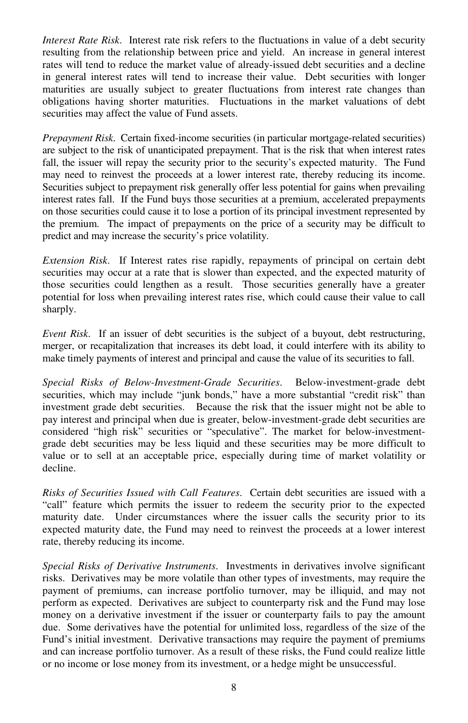*Interest Rate Risk*. Interest rate risk refers to the fluctuations in value of a debt security resulting from the relationship between price and yield. An increase in general interest rates will tend to reduce the market value of already-issued debt securities and a decline in general interest rates will tend to increase their value. Debt securities with longer maturities are usually subject to greater fluctuations from interest rate changes than obligations having shorter maturities. Fluctuations in the market valuations of debt securities may affect the value of Fund assets.

*Prepayment Risk*. Certain fixed-income securities (in particular mortgage-related securities) are subject to the risk of unanticipated prepayment. That is the risk that when interest rates fall, the issuer will repay the security prior to the security's expected maturity. The Fund may need to reinvest the proceeds at a lower interest rate, thereby reducing its income. Securities subject to prepayment risk generally offer less potential for gains when prevailing interest rates fall. If the Fund buys those securities at a premium, accelerated prepayments on those securities could cause it to lose a portion of its principal investment represented by the premium. The impact of prepayments on the price of a security may be difficult to predict and may increase the security's price volatility.

*Extension Risk*. If Interest rates rise rapidly, repayments of principal on certain debt securities may occur at a rate that is slower than expected, and the expected maturity of those securities could lengthen as a result. Those securities generally have a greater potential for loss when prevailing interest rates rise, which could cause their value to call sharply.

*Event Risk*. If an issuer of debt securities is the subject of a buyout, debt restructuring, merger, or recapitalization that increases its debt load, it could interfere with its ability to make timely payments of interest and principal and cause the value of its securities to fall.

*Special Risks of Below-Investment-Grade Securities*. Below-investment-grade debt securities, which may include "junk bonds," have a more substantial "credit risk" than investment grade debt securities. Because the risk that the issuer might not be able to pay interest and principal when due is greater, below-investment-grade debt securities are considered "high risk" securities or "speculative". The market for below-investmentgrade debt securities may be less liquid and these securities may be more difficult to value or to sell at an acceptable price, especially during time of market volatility or decline.

*Risks of Securities Issued with Call Features*. Certain debt securities are issued with a "call" feature which permits the issuer to redeem the security prior to the expected maturity date. Under circumstances where the issuer calls the security prior to its expected maturity date, the Fund may need to reinvest the proceeds at a lower interest rate, thereby reducing its income.

*Special Risks of Derivative Instruments*. Investments in derivatives involve significant risks. Derivatives may be more volatile than other types of investments, may require the payment of premiums, can increase portfolio turnover, may be illiquid, and may not perform as expected. Derivatives are subject to counterparty risk and the Fund may lose money on a derivative investment if the issuer or counterparty fails to pay the amount due. Some derivatives have the potential for unlimited loss, regardless of the size of the Fund's initial investment. Derivative transactions may require the payment of premiums and can increase portfolio turnover. As a result of these risks, the Fund could realize little or no income or lose money from its investment, or a hedge might be unsuccessful.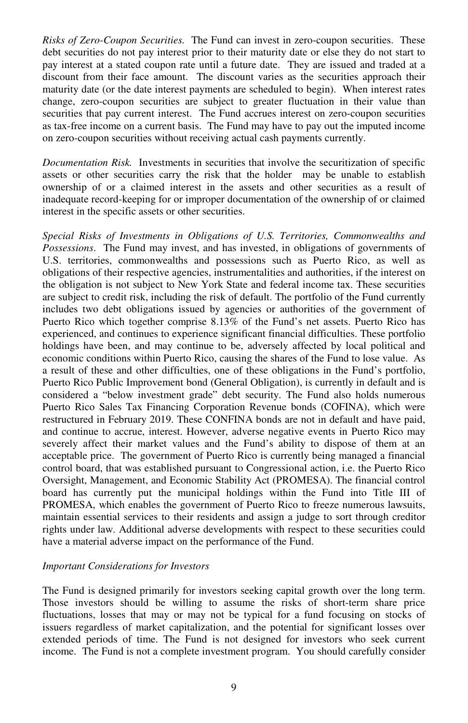*Risks of Zero-Coupon Securities.* The Fund can invest in zero-coupon securities. These debt securities do not pay interest prior to their maturity date or else they do not start to pay interest at a stated coupon rate until a future date. They are issued and traded at a discount from their face amount. The discount varies as the securities approach their maturity date (or the date interest payments are scheduled to begin). When interest rates change, zero-coupon securities are subject to greater fluctuation in their value than securities that pay current interest. The Fund accrues interest on zero-coupon securities as tax-free income on a current basis. The Fund may have to pay out the imputed income on zero-coupon securities without receiving actual cash payments currently.

*Documentation Risk.* Investments in securities that involve the securitization of specific assets or other securities carry the risk that the holder may be unable to establish ownership of or a claimed interest in the assets and other securities as a result of inadequate record-keeping for or improper documentation of the ownership of or claimed interest in the specific assets or other securities.

*Special Risks of Investments in Obligations of U.S. Territories, Commonwealths and Possessions*. The Fund may invest, and has invested, in obligations of governments of U.S. territories, commonwealths and possessions such as Puerto Rico, as well as obligations of their respective agencies, instrumentalities and authorities, if the interest on the obligation is not subject to New York State and federal income tax. These securities are subject to credit risk, including the risk of default. The portfolio of the Fund currently includes two debt obligations issued by agencies or authorities of the government of Puerto Rico which together comprise 8.13% of the Fund's net assets. Puerto Rico has experienced, and continues to experience significant financial difficulties. These portfolio holdings have been, and may continue to be, adversely affected by local political and economic conditions within Puerto Rico, causing the shares of the Fund to lose value. As a result of these and other difficulties, one of these obligations in the Fund's portfolio, Puerto Rico Public Improvement bond (General Obligation), is currently in default and is considered a "below investment grade" debt security. The Fund also holds numerous Puerto Rico Sales Tax Financing Corporation Revenue bonds (COFINA), which were restructured in February 2019. These CONFINA bonds are not in default and have paid, and continue to accrue, interest. However, adverse negative events in Puerto Rico may severely affect their market values and the Fund's ability to dispose of them at an acceptable price. The government of Puerto Rico is currently being managed a financial control board, that was established pursuant to Congressional action, i.e. the Puerto Rico Oversight, Management, and Economic Stability Act (PROMESA). The financial control board has currently put the municipal holdings within the Fund into Title III of PROMESA, which enables the government of Puerto Rico to freeze numerous lawsuits, maintain essential services to their residents and assign a judge to sort through creditor rights under law. Additional adverse developments with respect to these securities could have a material adverse impact on the performance of the Fund.

#### *Important Considerations for Investors*

The Fund is designed primarily for investors seeking capital growth over the long term. Those investors should be willing to assume the risks of short-term share price fluctuations, losses that may or may not be typical for a fund focusing on stocks of issuers regardless of market capitalization, and the potential for significant losses over extended periods of time. The Fund is not designed for investors who seek current income. The Fund is not a complete investment program. You should carefully consider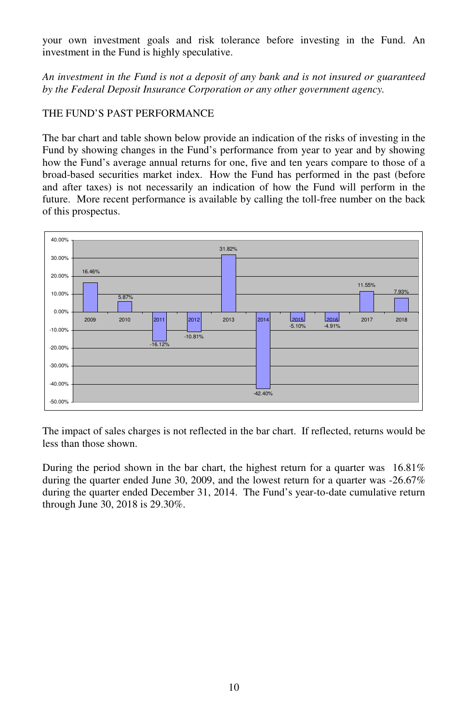your own investment goals and risk tolerance before investing in the Fund. An investment in the Fund is highly speculative.

*An investment in the Fund is not a deposit of any bank and is not insured or guaranteed by the Federal Deposit Insurance Corporation or any other government agency.* 

## THE FUND'S PAST PERFORMANCE

The bar chart and table shown below provide an indication of the risks of investing in the Fund by showing changes in the Fund's performance from year to year and by showing how the Fund's average annual returns for one, five and ten years compare to those of a broad-based securities market index. How the Fund has performed in the past (before and after taxes) is not necessarily an indication of how the Fund will perform in the future. More recent performance is available by calling the toll-free number on the back of this prospectus.



The impact of sales charges is not reflected in the bar chart. If reflected, returns would be less than those shown.

During the period shown in the bar chart, the highest return for a quarter was  $16.81\%$ during the quarter ended June 30, 2009, and the lowest return for a quarter was  $-26.67\%$ during the quarter ended December 31, 2014. The Fund's year-to-date cumulative return through June 30, 2018 is 29.30%.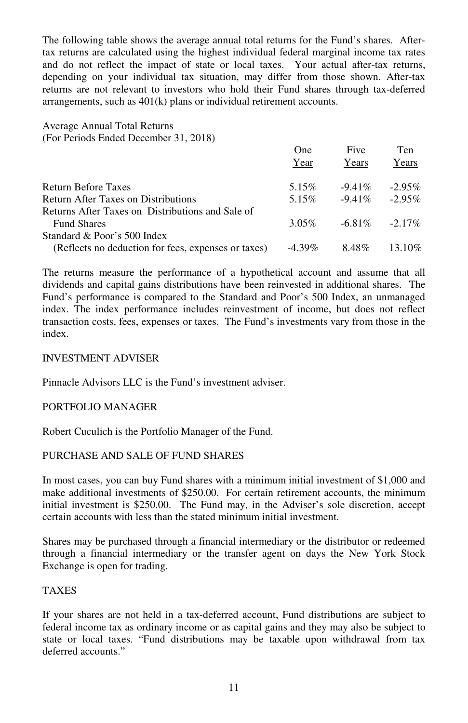The following table shows the average annual total returns for the Fund's shares. Aftertax returns are calculated using the highest individual federal marginal income tax rates and do not reflect the impact of state or local taxes. Your actual after-tax returns, depending on your individual tax situation, may differ from those shown. After-tax returns are not relevant to investors who hold their Fund shares through tax-deferred arrangements, such as 401(k) plans or individual retirement accounts.

Average Annual Total Returns (For Periods Ended December 31, 2018)

| One<br>Year | Five<br>Years | Ten<br>Years |
|-------------|---------------|--------------|
| 5.15%       | $-9.41\%$     | $-2.95\%$    |
| 5.15%       |               | $-2.95\%$    |
|             |               |              |
| $3.05\%$    | $-6.81\%$     | $-2.17\%$    |
|             |               |              |
| $-4.39\%$   | 8.48%         | 13.10%       |
|             |               | $-9.41\%$    |

The returns measure the performance of a hypothetical account and assume that all dividends and capital gains distributions have been reinvested in additional shares. The Fund's performance is compared to the Standard and Poor's 500 Index, an unmanaged index. The index performance includes reinvestment of income, but does not reflect transaction costs, fees, expenses or taxes. The Fund's investments vary from those in the index.

#### INVESTMENT ADVISER

Pinnacle Advisors LLC is the Fund's investment adviser.

## PORTFOLIO MANAGER

Robert Cuculich is the Portfolio Manager of the Fund.

## PURCHASE AND SALE OF FUND SHARES

In most cases, you can buy Fund shares with a minimum initial investment of \$1,000 and make additional investments of \$250.00. For certain retirement accounts, the minimum initial investment is \$250.00. The Fund may, in the Adviser's sole discretion, accept certain accounts with less than the stated minimum initial investment.

Shares may be purchased through a financial intermediary or the distributor or redeemed through a financial intermediary or the transfer agent on days the New York Stock Exchange is open for trading.

## TAXES

If your shares are not held in a tax-deferred account, Fund distributions are subject to federal income tax as ordinary income or as capital gains and they may also be subject to state or local taxes. "Fund distributions may be taxable upon withdrawal from tax deferred accounts."